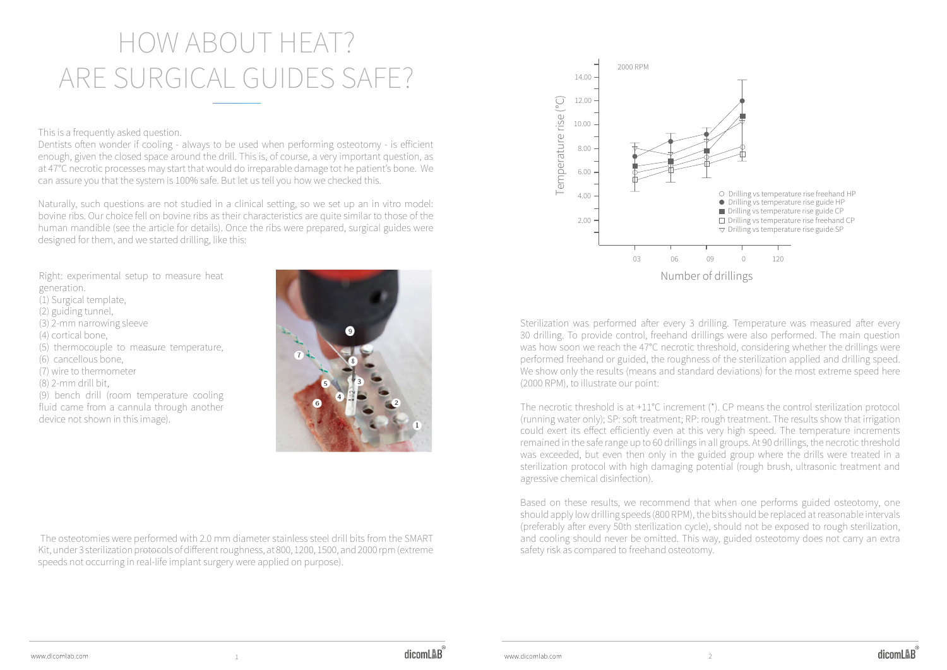## How about heat? Are surgical guides safe?

This is a frequently asked question.

Dentists often wonder if cooling - always to be used when performing osteotomy - is efficient enough, given the closed space around the drill. This is, of course, a very important question, as at 47°C necrotic processes may start that would do irreparable damage tot he patient's bone. We can assure you that the system is 100% safe. But let us tell you how we checked this.

Naturally, such questions are not studied in a clinical setting, so we set up an in vitro model: bovine ribs. Our choice fell on bovine ribs as their characteristics are quite similar to those of the human mandible (see the article for details). Once the ribs were prepared, surgical guides were designed for them, and we started drilling, like this:

Right: experimental setup to measure heat generation. (1) Surgical template, (2) guiding tunnel, (3) 2-mm narrowing sleeve (4) cortical bone, (5) thermocouple to measure temperature, (6) cancellous bone, (7) wire to thermometer (8) 2-mm drill bit, (9) bench drill (room temperature cooling fluid came from a cannula through another device not shown in this image).



Based on these results, we recommend that when one performs guided osteotomy, one should apply low drilling speeds (800 RPM), the bits should be replaced at reasonable intervals (preferably after every 50th sterilization cycle), should not be exposed to rough sterilization, and cooling should never be omitted. This way, guided osteotomy does not carry an extra

 The osteotomies were performed with 2.0 mm diameter stainless steel drill bits from the SMART Kit, under 3 sterilization protocols of different roughness, at 800, 1200, 1500, and 2000 rpm (extreme speeds not occurring in real-life implant surgery were applied on purpose).

Sterilization was performed after every 3 drilling. Temperature was measured after every 30 drilling. To provide control, freehand drillings were also performed. The main question was how soon we reach the 47°C necrotic threshold, considering whether the drillings were performed freehand or guided, the roughness of the sterilization applied and drilling speed. We show only the results (means and standard deviations) for the most extreme speed here (2000 RPM), to illustrate our point:

The necrotic threshold is at +11°C increment (\*). CP means the control sterilization protocol (running water only); SP: soft treatment; RP: rough treatment. The results show that irrigation could exert its effect efficiently even at this very high speed. The temperature increments remained in the safe range up to 60 drillings in all groups. At 90 drillings, the necrotic threshold was exceeded, but even then only in the guided group where the drills were treated in a sterilization protocol with high damaging potential (rough brush, ultrasonic treatment and agressive chemical disinfection).